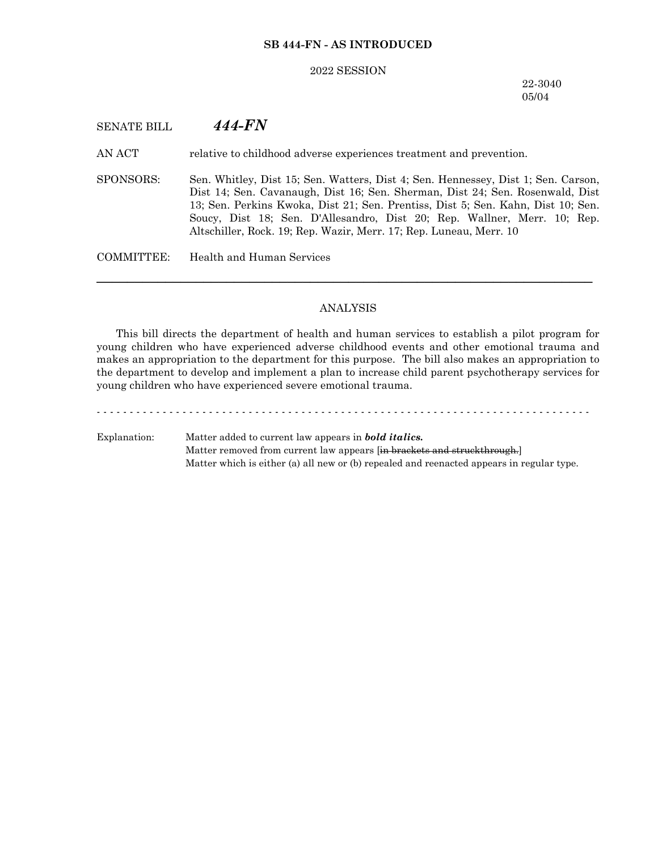## **SB 444-FN - AS INTRODUCED**

#### 2022 SESSION

22-3040 05/04

# SENATE BILL *444-FN*

AN ACT relative to childhood adverse experiences treatment and prevention.

SPONSORS: Sen. Whitley, Dist 15; Sen. Watters, Dist 4; Sen. Hennessey, Dist 1; Sen. Carson, Dist 14; Sen. Cavanaugh, Dist 16; Sen. Sherman, Dist 24; Sen. Rosenwald, Dist 13; Sen. Perkins Kwoka, Dist 21; Sen. Prentiss, Dist 5; Sen. Kahn, Dist 10; Sen. Soucy, Dist 18; Sen. D'Allesandro, Dist 20; Rep. Wallner, Merr. 10; Rep. Altschiller, Rock. 19; Rep. Wazir, Merr. 17; Rep. Luneau, Merr. 10

COMMITTEE: Health and Human Services

# ANALYSIS

─────────────────────────────────────────────────────────────────

This bill directs the department of health and human services to establish a pilot program for young children who have experienced adverse childhood events and other emotional trauma and makes an appropriation to the department for this purpose. The bill also makes an appropriation to the department to develop and implement a plan to increase child parent psychotherapy services for young children who have experienced severe emotional trauma.

- - - - - - - - - - - - - - - - - - - - - - - - - - - - - - - - - - - - - - - - - - - - - - - - - - - - - - - - - - - - - - - - - - - - - - - - - - - Explanation: Matter added to current law appears in *bold italics.* Matter removed from current law appears [in brackets and struckthrough.] Matter which is either (a) all new or (b) repealed and reenacted appears in regular type.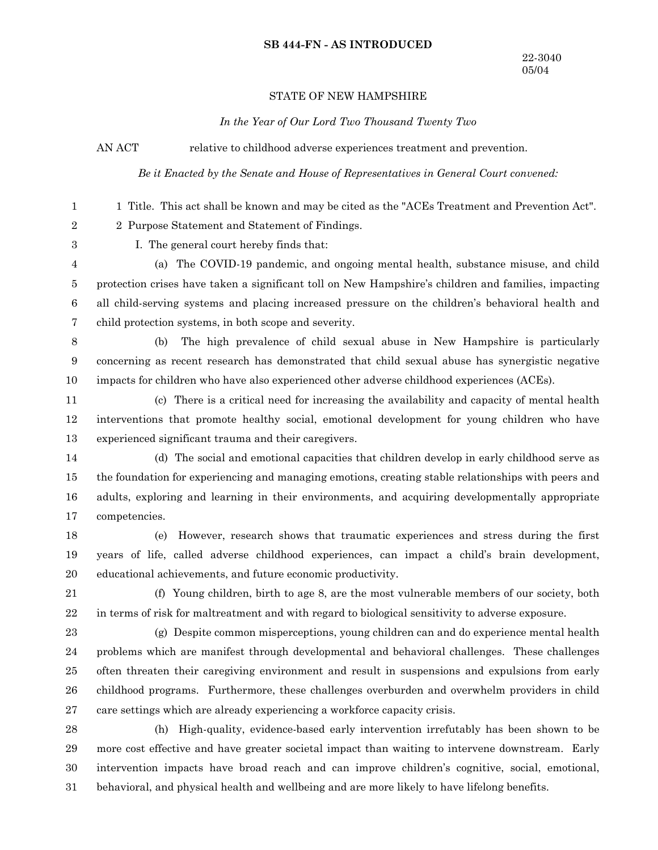### **SB 444-FN - AS INTRODUCED**

## STATE OF NEW HAMPSHIRE

*In the Year of Our Lord Two Thousand Twenty Two*

AN ACT relative to childhood adverse experiences treatment and prevention.

*Be it Enacted by the Senate and House of Representatives in General Court convened:*

1 Title. This act shall be known and may be cited as the "ACEs Treatment and Prevention Act". 2 Purpose Statement and Statement of Findings. I. The general court hereby finds that: (a) The COVID-19 pandemic, and ongoing mental health, substance misuse, and child protection crises have taken a significant toll on New Hampshire's children and families, impacting all child-serving systems and placing increased pressure on the children's behavioral health and child protection systems, in both scope and severity. (b) The high prevalence of child sexual abuse in New Hampshire is particularly concerning as recent research has demonstrated that child sexual abuse has synergistic negative impacts for children who have also experienced other adverse childhood experiences (ACEs). (c) There is a critical need for increasing the availability and capacity of mental health interventions that promote healthy social, emotional development for young children who have experienced significant trauma and their caregivers. (d) The social and emotional capacities that children develop in early childhood serve as the foundation for experiencing and managing emotions, creating stable relationships with peers and adults, exploring and learning in their environments, and acquiring developmentally appropriate competencies. (e) However, research shows that traumatic experiences and stress during the first years of life, called adverse childhood experiences, can impact a child's brain development, educational achievements, and future economic productivity. (f) Young children, birth to age 8, are the most vulnerable members of our society, both in terms of risk for maltreatment and with regard to biological sensitivity to adverse exposure. (g) Despite common misperceptions, young children can and do experience mental health problems which are manifest through developmental and behavioral challenges. These challenges often threaten their caregiving environment and result in suspensions and expulsions from early childhood programs. Furthermore, these challenges overburden and overwhelm providers in child care settings which are already experiencing a workforce capacity crisis. (h) High-quality, evidence-based early intervention irrefutably has been shown to be more cost effective and have greater societal impact than waiting to intervene downstream. Early intervention impacts have broad reach and can improve children's cognitive, social, emotional, 1 2 3 4 5 6 7 8 9 10 11 12 13 14 15 16 17 18 19 20 21 22 23 24 25 26 27 28 29 30

behavioral, and physical health and wellbeing and are more likely to have lifelong benefits. 31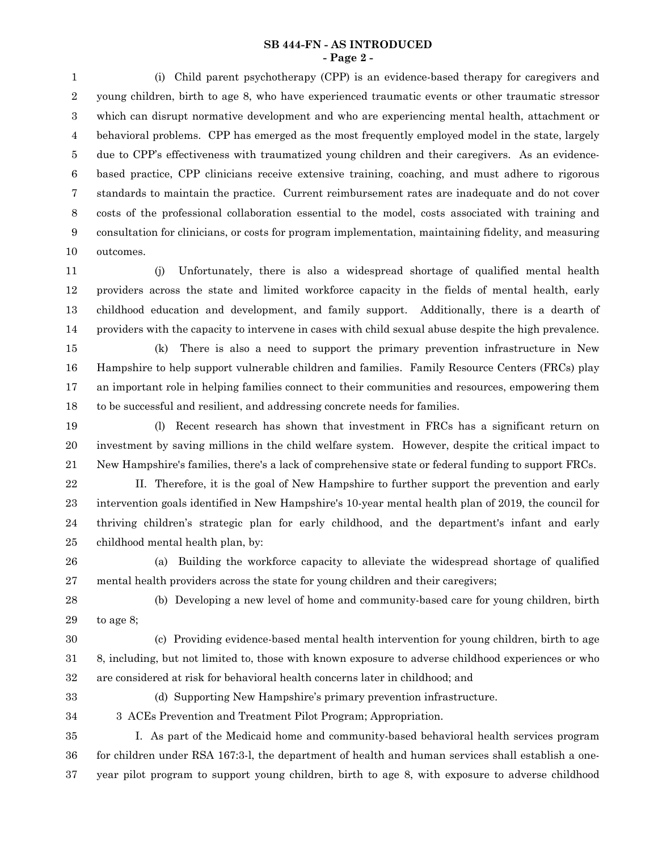### **SB 444-FN - AS INTRODUCED - Page 2 -**

(i) Child parent psychotherapy (CPP) is an evidence-based therapy for caregivers and young children, birth to age 8, who have experienced traumatic events or other traumatic stressor which can disrupt normative development and who are experiencing mental health, attachment or behavioral problems. CPP has emerged as the most frequently employed model in the state, largely due to CPP's effectiveness with traumatized young children and their caregivers. As an evidencebased practice, CPP clinicians receive extensive training, coaching, and must adhere to rigorous standards to maintain the practice. Current reimbursement rates are inadequate and do not cover costs of the professional collaboration essential to the model, costs associated with training and consultation for clinicians, or costs for program implementation, maintaining fidelity, and measuring outcomes. 1 2 3 4 5 6 7 8 9 10

(j) Unfortunately, there is also a widespread shortage of qualified mental health providers across the state and limited workforce capacity in the fields of mental health, early childhood education and development, and family support. Additionally, there is a dearth of providers with the capacity to intervene in cases with child sexual abuse despite the high prevalence. 11 12 13 14

(k) There is also a need to support the primary prevention infrastructure in New Hampshire to help support vulnerable children and families. Family Resource Centers (FRCs) play an important role in helping families connect to their communities and resources, empowering them to be successful and resilient, and addressing concrete needs for families. 15 16 17 18

(l) Recent research has shown that investment in FRCs has a significant return on investment by saving millions in the child welfare system. However, despite the critical impact to New Hampshire's families, there's a lack of comprehensive state or federal funding to support FRCs. 19 20 21

II. Therefore, it is the goal of New Hampshire to further support the prevention and early intervention goals identified in New Hampshire's 10-year mental health plan of 2019, the council for thriving children's strategic plan for early childhood, and the department's infant and early childhood mental health plan, by: 22 23 24 25

(a) Building the workforce capacity to alleviate the widespread shortage of qualified mental health providers across the state for young children and their caregivers; 26 27

(b) Developing a new level of home and community-based care for young children, birth to age 8; 28 29

30

(c) Providing evidence-based mental health intervention for young children, birth to age 8, including, but not limited to, those with known exposure to adverse childhood experiences or who are considered at risk for behavioral health concerns later in childhood; and 31 32

33

(d) Supporting New Hampshire's primary prevention infrastructure.

3 ACEs Prevention and Treatment Pilot Program; Appropriation. 34

I. As part of the Medicaid home and community-based behavioral health services program for children under RSA 167:3-l, the department of health and human services shall establish a oneyear pilot program to support young children, birth to age 8, with exposure to adverse childhood 35 36 37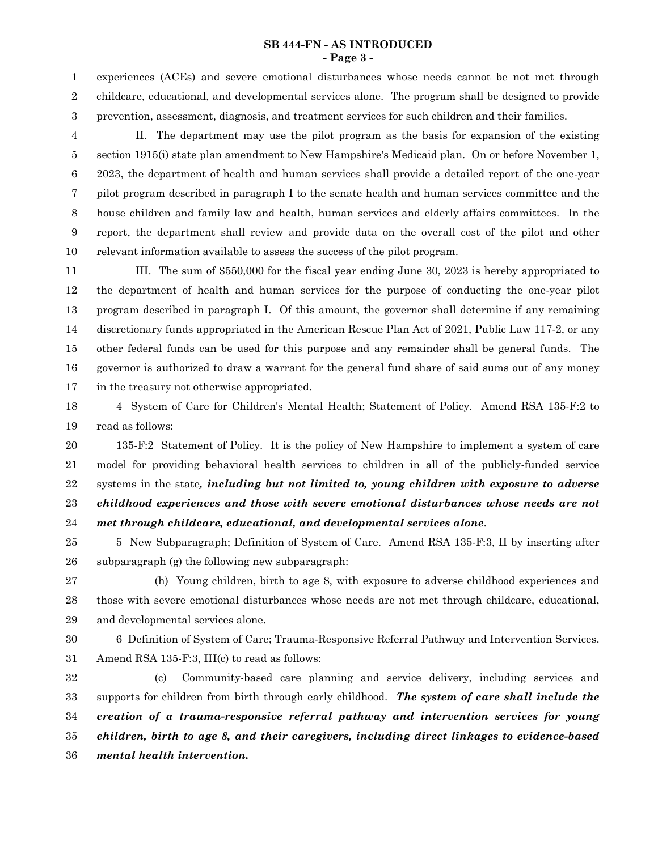#### **SB 444-FN - AS INTRODUCED - Page 3 -**

experiences (ACEs) and severe emotional disturbances whose needs cannot be not met through childcare, educational, and developmental services alone. The program shall be designed to provide prevention, assessment, diagnosis, and treatment services for such children and their families. 1 2 3

II. The department may use the pilot program as the basis for expansion of the existing section 1915(i) state plan amendment to New Hampshire's Medicaid plan. On or before November 1, 2023, the department of health and human services shall provide a detailed report of the one-year pilot program described in paragraph I to the senate health and human services committee and the house children and family law and health, human services and elderly affairs committees. In the report, the department shall review and provide data on the overall cost of the pilot and other relevant information available to assess the success of the pilot program. 4 5 6 7 8 9 10

III. The sum of \$550,000 for the fiscal year ending June 30, 2023 is hereby appropriated to the department of health and human services for the purpose of conducting the one-year pilot program described in paragraph I. Of this amount, the governor shall determine if any remaining discretionary funds appropriated in the American Rescue Plan Act of 2021, Public Law 117-2, or any other federal funds can be used for this purpose and any remainder shall be general funds. The governor is authorized to draw a warrant for the general fund share of said sums out of any money in the treasury not otherwise appropriated. 11 12 13 14 15 16 17

4 System of Care for Children's Mental Health; Statement of Policy. Amend RSA 135-F:2 to read as follows: 18 19

135-F:2 Statement of Policy. It is the policy of New Hampshire to implement a system of care model for providing behavioral health services to children in all of the publicly-funded service systems in the state*, including but not limited to, young children with exposure to adverse childhood experiences and those with severe emotional disturbances whose needs are not met through childcare, educational, and developmental services alone*. 20 21 22 23 24

- 5 New Subparagraph; Definition of System of Care. Amend RSA 135-F:3, II by inserting after subparagraph (g) the following new subparagraph: 25 26
- 

(h) Young children, birth to age 8, with exposure to adverse childhood experiences and those with severe emotional disturbances whose needs are not met through childcare, educational, and developmental services alone. 27 28 29

6 Definition of System of Care; Trauma-Responsive Referral Pathway and Intervention Services. Amend RSA 135-F:3, III(c) to read as follows: 30 31

(c) Community-based care planning and service delivery, including services and supports for children from birth through early childhood. *The system of care shall include the creation of a trauma-responsive referral pathway and intervention services for young children, birth to age 8, and their caregivers, including direct linkages to evidence-based mental health intervention.* 32 33 34 35 36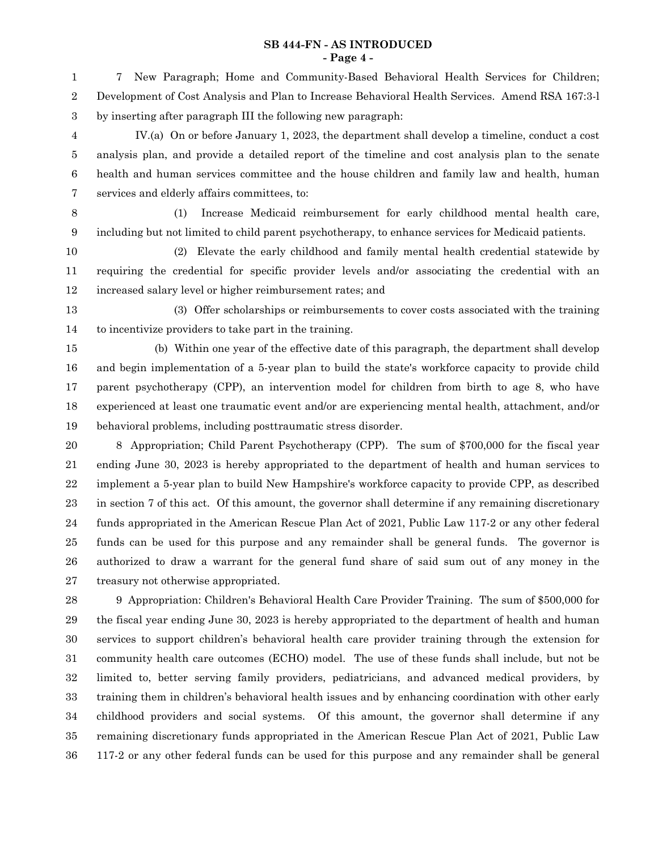#### **SB 444-FN - AS INTRODUCED - Page 4 -**

7 New Paragraph; Home and Community-Based Behavioral Health Services for Children; Development of Cost Analysis and Plan to Increase Behavioral Health Services. Amend RSA 167:3-l by inserting after paragraph III the following new paragraph: IV.(a) On or before January 1, 2023, the department shall develop a timeline, conduct a cost analysis plan, and provide a detailed report of the timeline and cost analysis plan to the senate health and human services committee and the house children and family law and health, human services and elderly affairs committees, to: (1) Increase Medicaid reimbursement for early childhood mental health care, including but not limited to child parent psychotherapy, to enhance services for Medicaid patients. (2) Elevate the early childhood and family mental health credential statewide by requiring the credential for specific provider levels and/or associating the credential with an increased salary level or higher reimbursement rates; and (3) Offer scholarships or reimbursements to cover costs associated with the training to incentivize providers to take part in the training. (b) Within one year of the effective date of this paragraph, the department shall develop and begin implementation of a 5-year plan to build the state's workforce capacity to provide child parent psychotherapy (CPP), an intervention model for children from birth to age 8, who have experienced at least one traumatic event and/or are experiencing mental health, attachment, and/or behavioral problems, including posttraumatic stress disorder. 8 Appropriation; Child Parent Psychotherapy (CPP). The sum of \$700,000 for the fiscal year ending June 30, 2023 is hereby appropriated to the department of health and human services to implement a 5-year plan to build New Hampshire's workforce capacity to provide CPP, as described in section 7 of this act. Of this amount, the governor shall determine if any remaining discretionary funds appropriated in the American Rescue Plan Act of 2021, Public Law 117-2 or any other federal funds can be used for this purpose and any remainder shall be general funds. The governor is 1 2 3 4 5 6 7 8 9 10 11 12 13 14 15 16 17 18 19 20 21 22 23 24 25

treasury not otherwise appropriated. 9 Appropriation: Children's Behavioral Health Care Provider Training. The sum of \$500,000 for the fiscal year ending June 30, 2023 is hereby appropriated to the department of health and human services to support children's behavioral health care provider training through the extension for community health care outcomes (ECHO) model. The use of these funds shall include, but not be limited to, better serving family providers, pediatricians, and advanced medical providers, by training them in children's behavioral health issues and by enhancing coordination with other early childhood providers and social systems. Of this amount, the governor shall determine if any remaining discretionary funds appropriated in the American Rescue Plan Act of 2021, Public Law 117-2 or any other federal funds can be used for this purpose and any remainder shall be general 27 28 29 30 31 32 33 34 35 36

authorized to draw a warrant for the general fund share of said sum out of any money in the

26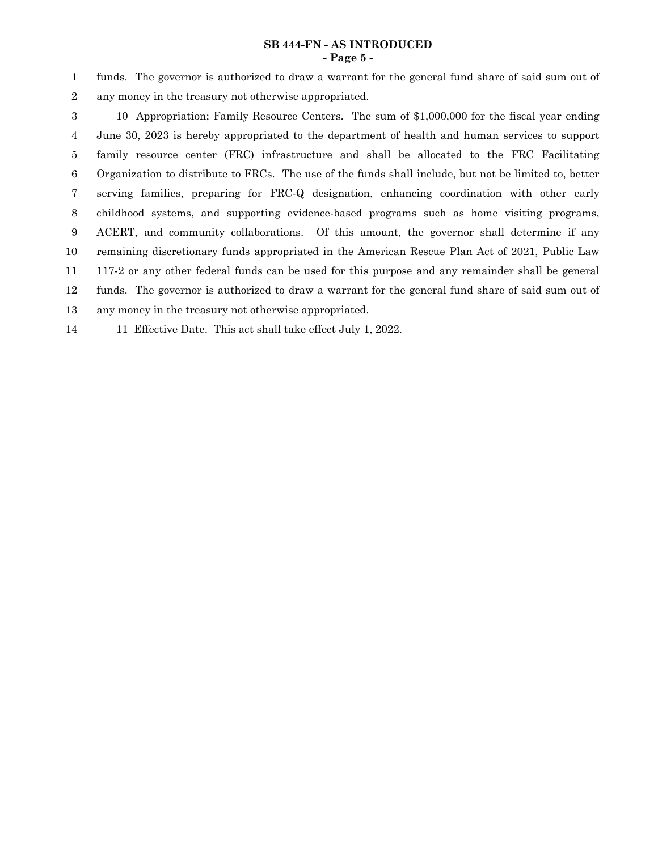## **SB 444-FN - AS INTRODUCED - Page 5 -**

funds. The governor is authorized to draw a warrant for the general fund share of said sum out of any money in the treasury not otherwise appropriated. 1 2

10 Appropriation; Family Resource Centers. The sum of \$1,000,000 for the fiscal year ending June 30, 2023 is hereby appropriated to the department of health and human services to support family resource center (FRC) infrastructure and shall be allocated to the FRC Facilitating Organization to distribute to FRCs. The use of the funds shall include, but not be limited to, better serving families, preparing for FRC-Q designation, enhancing coordination with other early childhood systems, and supporting evidence-based programs such as home visiting programs, ACERT, and community collaborations. Of this amount, the governor shall determine if any remaining discretionary funds appropriated in the American Rescue Plan Act of 2021, Public Law 117-2 or any other federal funds can be used for this purpose and any remainder shall be general funds. The governor is authorized to draw a warrant for the general fund share of said sum out of any money in the treasury not otherwise appropriated. 3 4 5 6 7 8 9 10 11 12 13

11 Effective Date. This act shall take effect July 1, 2022. 14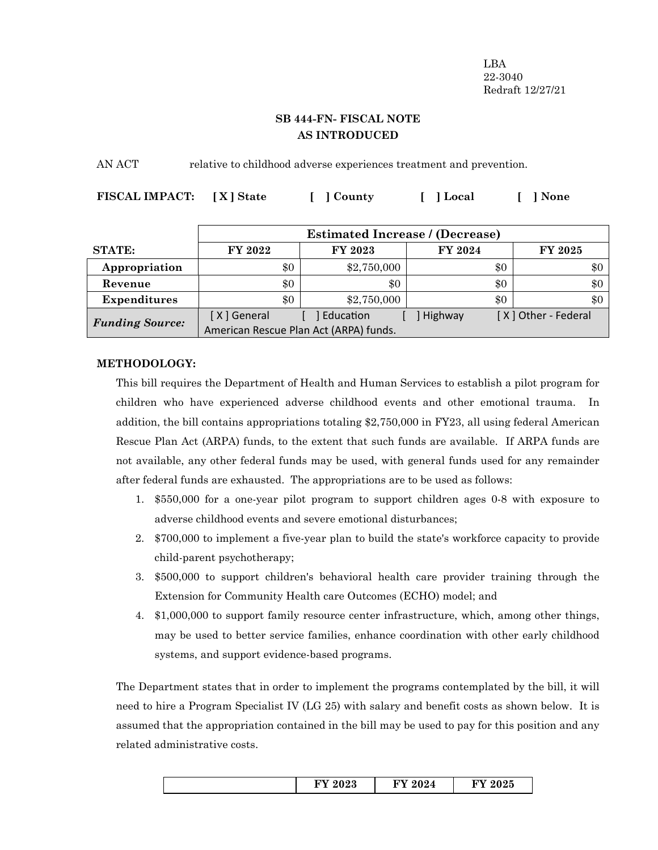LBA 22-3040 Redraft 12/27/21

# **SB 444-FN- FISCAL NOTE AS INTRODUCED**

AN ACT relative to childhood adverse experiences treatment and prevention.

| FISCAL IMPACT: [X] State | [ ] County | [ ] Local | [ ] None |
|--------------------------|------------|-----------|----------|
|                          |            |           |          |

|                        | <b>Estimated Increase / (Decrease)</b>                |             |                |                     |  |
|------------------------|-------------------------------------------------------|-------------|----------------|---------------------|--|
| <b>STATE:</b>          | FY 2022                                               | FY 2023     | <b>FY 2024</b> | <b>FY 2025</b>      |  |
| Appropriation          | \$0                                                   | \$2,750,000 | \$0            | \$0                 |  |
| Revenue                | \$0                                                   | \$0         | \$0            | \$0                 |  |
| <b>Expenditures</b>    | \$0                                                   | \$2,750,000 | \$0            | \$0                 |  |
| <b>Funding Source:</b> | [X] General<br>American Rescue Plan Act (ARPA) funds. | Education   | Highway        | [X] Other - Federal |  |

# **METHODOLOGY:**

This bill requires the Department of Health and Human Services to establish a pilot program for children who have experienced adverse childhood events and other emotional trauma. In addition, the bill contains appropriations totaling \$2,750,000 in FY23, all using federal American Rescue Plan Act (ARPA) funds, to the extent that such funds are available. If ARPA funds are not available, any other federal funds may be used, with general funds used for any remainder after federal funds are exhausted. The appropriations are to be used as follows:

- 1. \$550,000 for a one-year pilot program to support children ages 0-8 with exposure to adverse childhood events and severe emotional disturbances;
- 2. \$700,000 to implement a five-year plan to build the state's workforce capacity to provide child-parent psychotherapy;
- 3. \$500,000 to support children's behavioral health care provider training through the Extension for Community Health care Outcomes (ECHO) model; and
- 4. \$1,000,000 to support family resource center infrastructure, which, among other things, may be used to better service families, enhance coordination with other early childhood systems, and support evidence-based programs.

The Department states that in order to implement the programs contemplated by the bill, it will need to hire a Program Specialist IV (LG 25) with salary and benefit costs as shown below. It is assumed that the appropriation contained in the bill may be used to pay for this position and any related administrative costs.

|  | ഹ ച<br>⊿⊍<br>- | റററ<br>'44<br>$\sim$ | $E_{\mathbf{V}}$ and $E_{\mathbf{V}}$<br>ΖÙ |
|--|----------------|----------------------|---------------------------------------------|
|--|----------------|----------------------|---------------------------------------------|